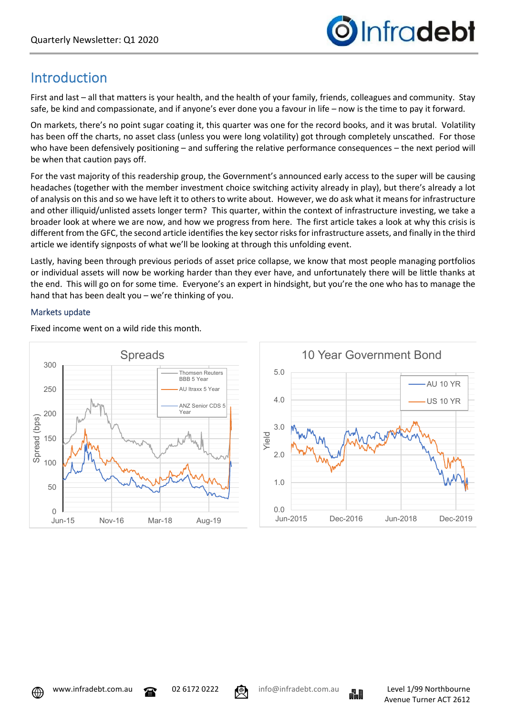

# Introduction

First and last – all that matters is your health, and the health of your family, friends, colleagues and community. Stay safe, be kind and compassionate, and if anyone's ever done you a favour in life – now is the time to pay it forward.

On markets, there's no point sugar coating it, this quarter was one for the record books, and it was brutal. Volatility has been off the charts, no asset class (unless you were long volatility) got through completely unscathed. For those who have been defensively positioning – and suffering the relative performance consequences – the next period will be when that caution pays off.

For the vast majority of this readership group, the Government's announced early access to the super will be causing headaches (together with the member investment choice switching activity already in play), but there's already a lot of analysis on this and so we have left it to others to write about. However, we do ask what it means for infrastructure and other illiquid/unlisted assets longer term? This quarter, within the context of infrastructure investing, we take a broader look at where we are now, and how we progress from here. The first article takes a look at why this crisis is different from the GFC, the second article identifies the key sector risks for infrastructure assets, and finally in the third article we identify signposts of what we'll be looking at through this unfolding event.

Lastly, having been through previous periods of asset price collapse, we know that most people managing portfolios or individual assets will now be working harder than they ever have, and unfortunately there will be little thanks at the end. This will go on for some time. Everyone's an expert in hindsight, but you're the one who has to manage the hand that has been dealt you – we're thinking of you.

## Markets update



Fixed income went on a wild ride this month.







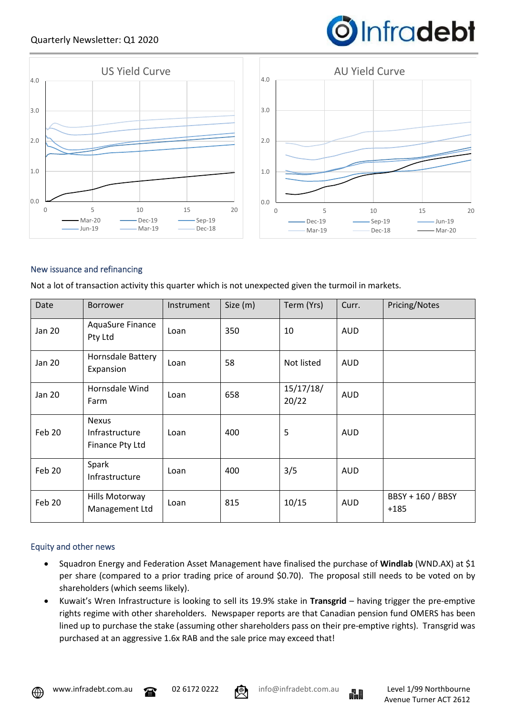## Quarterly Newsletter: Q1 2020





## New issuance and refinancing

Not a lot of transaction activity this quarter which is not unexpected given the turmoil in markets.

| Date   | <b>Borrower</b>                                   | Instrument | Size (m) | Term (Yrs)         | Curr.      | Pricing/Notes               |
|--------|---------------------------------------------------|------------|----------|--------------------|------------|-----------------------------|
| Jan 20 | AquaSure Finance<br>Pty Ltd                       | Loan       | 350      | 10                 | <b>AUD</b> |                             |
| Jan 20 | Hornsdale Battery<br>Expansion                    | Loan       | 58       | Not listed         | <b>AUD</b> |                             |
| Jan 20 | Hornsdale Wind<br>Farm                            | Loan       | 658      | 15/17/18/<br>20/22 | <b>AUD</b> |                             |
| Feb 20 | <b>Nexus</b><br>Infrastructure<br>Finance Pty Ltd | Loan       | 400      | 5                  | <b>AUD</b> |                             |
| Feb 20 | Spark<br>Infrastructure                           | Loan       | 400      | 3/5                | <b>AUD</b> |                             |
| Feb 20 | Hills Motorway<br>Management Ltd                  | Loan       | 815      | 10/15              | <b>AUD</b> | BBSY + 160 / BBSY<br>$+185$ |

#### Equity and other news

- Squadron Energy and Federation Asset Management have finalised the purchase of **Windlab** (WND.AX) at \$1 per share (compared to a prior trading price of around \$0.70). The proposal still needs to be voted on by shareholders (which seems likely).
- Kuwait's Wren Infrastructure is looking to sell its 19.9% stake in **Transgrid** having trigger the pre-emptive rights regime with other shareholders. Newspaper reports are that Canadian pension fund OMERS has been lined up to purchase the stake (assuming other shareholders pass on their pre-emptive rights). Transgrid was purchased at an aggressive 1.6x RAB and the sale price may exceed that!





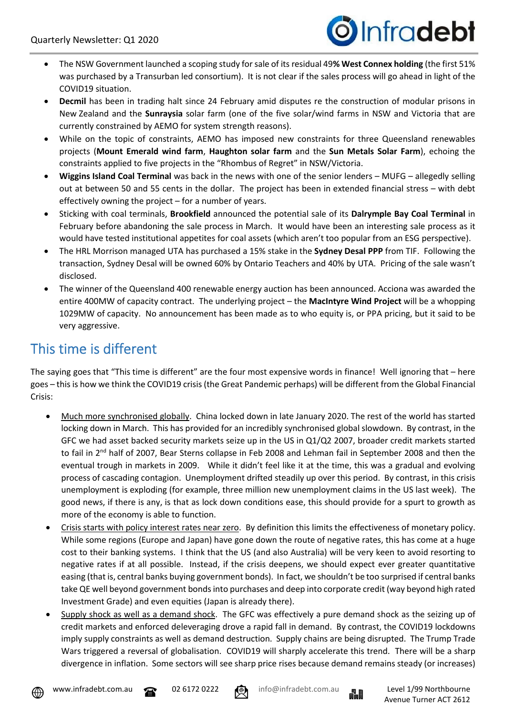

- The NSW Government launched a scoping study for sale of its residual 49**% West Connex holding** (the first 51% was purchased by a Transurban led consortium). It is not clear if the sales process will go ahead in light of the COVID19 situation.
- **Decmil** has been in trading halt since 24 February amid disputes re the construction of modular prisons in New Zealand and the **Sunraysia** solar farm (one of the five solar/wind farms in NSW and Victoria that are currently constrained by AEMO for system strength reasons).
- While on the topic of constraints, AEMO has imposed new constraints for three Queensland renewables projects (**Mount Emerald wind farm**, **Haughton solar farm** and the **Sun Metals Solar Farm**), echoing the constraints applied to five projects in the "Rhombus of Regret" in NSW/Victoria.
- **Wiggins Island Coal Terminal** was back in the news with one of the senior lenders MUFG allegedly selling out at between 50 and 55 cents in the dollar. The project has been in extended financial stress – with debt effectively owning the project – for a number of years.
- Sticking with coal terminals, **Brookfield** announced the potential sale of its **Dalrymple Bay Coal Terminal** in February before abandoning the sale process in March. It would have been an interesting sale process as it would have tested institutional appetites for coal assets (which aren't too popular from an ESG perspective).
- The HRL Morrison managed UTA has purchased a 15% stake in the **Sydney Desal PPP** from TIF. Following the transaction, Sydney Desal will be owned 60% by Ontario Teachers and 40% by UTA. Pricing of the sale wasn't disclosed.
- The winner of the Queensland 400 renewable energy auction has been announced. Acciona was awarded the entire 400MW of capacity contract. The underlying project – the **MacIntyre Wind Project** will be a whopping 1029MW of capacity. No announcement has been made as to who equity is, or PPA pricing, but it said to be very aggressive.

# This time is different

The saying goes that "This time is different" are the four most expensive words in finance! Well ignoring that – here goes – this is how we think the COVID19 crisis (the Great Pandemic perhaps) will be different from the Global Financial Crisis:

- Much more synchronised globally. China locked down in late January 2020. The rest of the world has started locking down in March. This has provided for an incredibly synchronised global slowdown. By contrast, in the GFC we had asset backed security markets seize up in the US in Q1/Q2 2007, broader credit markets started to fail in 2<sup>nd</sup> half of 2007, Bear Sterns collapse in Feb 2008 and Lehman fail in September 2008 and then the eventual trough in markets in 2009. While it didn't feel like it at the time, this was a gradual and evolving process of cascading contagion. Unemployment drifted steadily up over this period. By contrast, in this crisis unemployment is exploding (for example, three million new unemployment claims in the US last week). The good news, if there is any, is that as lock down conditions ease, this should provide for a spurt to growth as more of the economy is able to function.
- Crisis starts with policy interest rates near zero. By definition this limits the effectiveness of monetary policy. While some regions (Europe and Japan) have gone down the route of negative rates, this has come at a huge cost to their banking systems. I think that the US (and also Australia) will be very keen to avoid resorting to negative rates if at all possible. Instead, if the crisis deepens, we should expect ever greater quantitative easing (that is, central banks buying government bonds). In fact, we shouldn't be too surprised if central banks take QE well beyond government bonds into purchases and deep into corporate credit (way beyond high rated Investment Grade) and even equities (Japan is already there).
- Supply shock as well as a demand shock. The GFC was effectively a pure demand shock as the seizing up of credit markets and enforced deleveraging drove a rapid fall in demand. By contrast, the COVID19 lockdowns imply supply constraints as well as demand destruction. Supply chains are being disrupted. The Trump Trade Wars triggered a reversal of globalisation. COVID19 will sharply accelerate this trend. There will be a sharp divergence in inflation. Some sectors will see sharp price rises because demand remains steady (or increases)



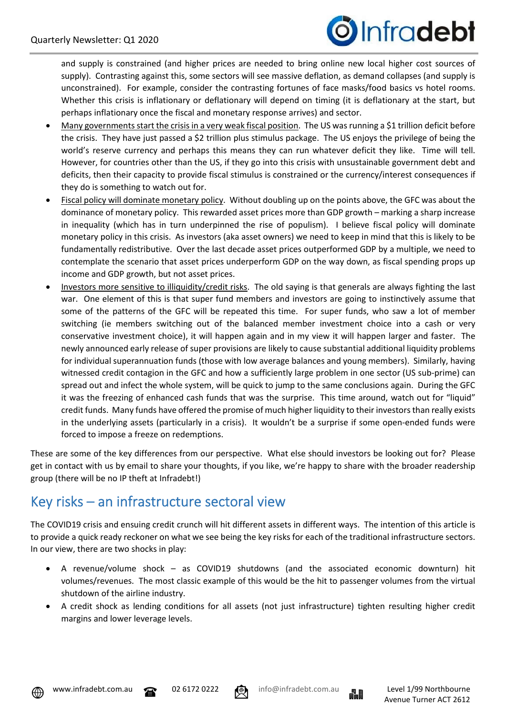

and supply is constrained (and higher prices are needed to bring online new local higher cost sources of supply). Contrasting against this, some sectors will see massive deflation, as demand collapses (and supply is unconstrained). For example, consider the contrasting fortunes of face masks/food basics vs hotel rooms. Whether this crisis is inflationary or deflationary will depend on timing (it is deflationary at the start, but perhaps inflationary once the fiscal and monetary response arrives) and sector.

- Many governments start the crisis in a very weak fiscal position. The US was running a \$1 trillion deficit before the crisis. They have just passed a \$2 trillion plus stimulus package. The US enjoys the privilege of being the world's reserve currency and perhaps this means they can run whatever deficit they like. Time will tell. However, for countries other than the US, if they go into this crisis with unsustainable government debt and deficits, then their capacity to provide fiscal stimulus is constrained or the currency/interest consequences if they do is something to watch out for.
- Fiscal policy will dominate monetary policy. Without doubling up on the points above, the GFC was about the dominance of monetary policy. This rewarded asset prices more than GDP growth – marking a sharp increase in inequality (which has in turn underpinned the rise of populism). I believe fiscal policy will dominate monetary policy in this crisis. As investors (aka asset owners) we need to keep in mind that this is likely to be fundamentally redistributive. Over the last decade asset prices outperformed GDP by a multiple, we need to contemplate the scenario that asset prices underperform GDP on the way down, as fiscal spending props up income and GDP growth, but not asset prices.
- Investors more sensitive to illiquidity/credit risks. The old saying is that generals are always fighting the last war. One element of this is that super fund members and investors are going to instinctively assume that some of the patterns of the GFC will be repeated this time. For super funds, who saw a lot of member switching (ie members switching out of the balanced member investment choice into a cash or very conservative investment choice), it will happen again and in my view it will happen larger and faster. The newly announced early release of super provisions are likely to cause substantial additional liquidity problems for individual superannuation funds (those with low average balances and young members). Similarly, having witnessed credit contagion in the GFC and how a sufficiently large problem in one sector (US sub-prime) can spread out and infect the whole system, will be quick to jump to the same conclusions again. During the GFC it was the freezing of enhanced cash funds that was the surprise. This time around, watch out for "liquid" credit funds. Many funds have offered the promise of much higher liquidity to their investors than really exists in the underlying assets (particularly in a crisis). It wouldn't be a surprise if some open-ended funds were forced to impose a freeze on redemptions.

These are some of the key differences from our perspective. What else should investors be looking out for? Please get in contact with us by email to share your thoughts, if you like, we're happy to share with the broader readership group (there will be no IP theft at Infradebt!)

## Key risks – an infrastructure sectoral view

The COVID19 crisis and ensuing credit crunch will hit different assets in different ways. The intention of this article is to provide a quick ready reckoner on what we see being the key risks for each of the traditional infrastructure sectors. In our view, there are two shocks in play:

- A revenue/volume shock as COVID19 shutdowns (and the associated economic downturn) hit volumes/revenues. The most classic example of this would be the hit to passenger volumes from the virtual shutdown of the airline industry.
- A credit shock as lending conditions for all assets (not just infrastructure) tighten resulting higher credit margins and lower leverage levels.







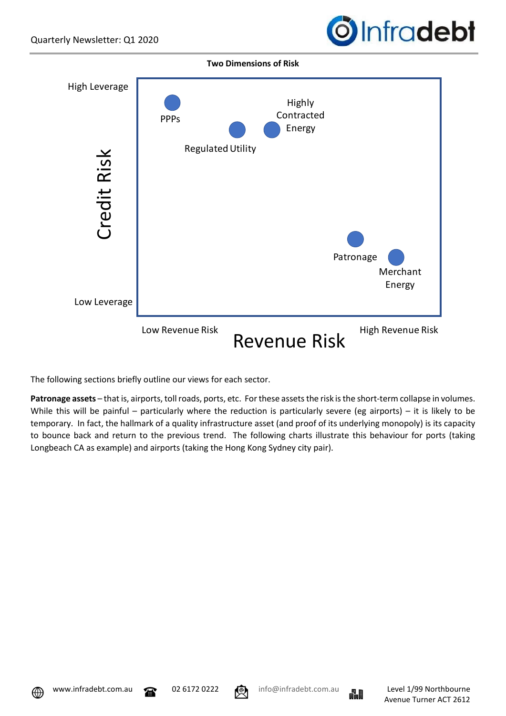



The following sections briefly outline our views for each sector.

**Patronage assets** – that is, airports, toll roads, ports, etc. For these assets the risk is the short-term collapse in volumes. While this will be painful – particularly where the reduction is particularly severe (eg airports) – it is likely to be temporary. In fact, the hallmark of a quality infrastructure asset (and proof of its underlying monopoly) is its capacity to bounce back and return to the previous trend. The following charts illustrate this behaviour for ports (taking Longbeach CA as example) and airports (taking the Hong Kong Sydney city pair).



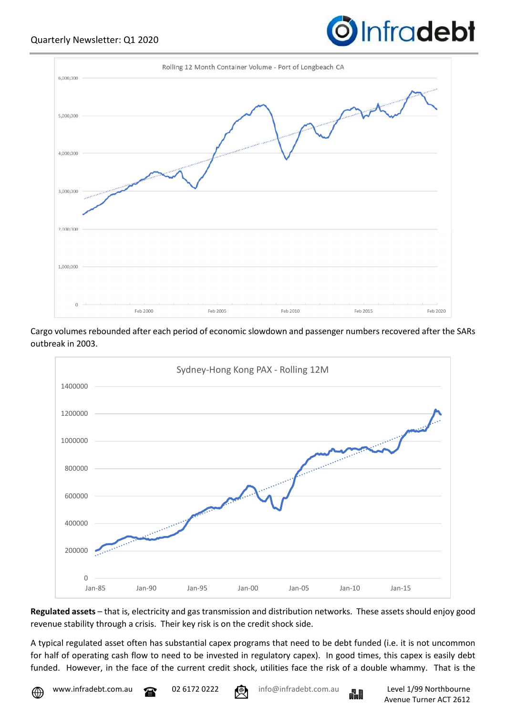

Cargo volumes rebounded after each period of economic slowdown and passenger numbers recovered after the SARs outbreak in 2003.



**Regulated assets** – that is, electricity and gas transmission and distribution networks. These assets should enjoy good revenue stability through a crisis. Their key risk is on the credit shock side.

A typical regulated asset often has substantial capex programs that need to be debt funded (i.e. it is not uncommon for half of operating cash flow to need to be invested in regulatory capex). In good times, this capex is easily debt funded. However, in the face of the current credit shock, utilities face the risk of a double whammy. That is the



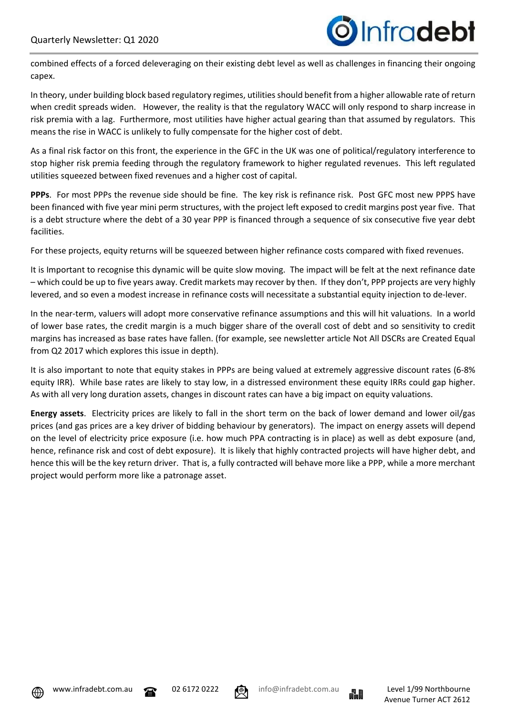combined effects of a forced deleveraging on their existing debt level as well as challenges in financing their ongoing capex.

In theory, under building block based regulatory regimes, utilities should benefit from a higher allowable rate of return when credit spreads widen. However, the reality is that the regulatory WACC will only respond to sharp increase in risk premia with a lag. Furthermore, most utilities have higher actual gearing than that assumed by regulators. This means the rise in WACC is unlikely to fully compensate for the higher cost of debt.

As a final risk factor on this front, the experience in the GFC in the UK was one of political/regulatory interference to stop higher risk premia feeding through the regulatory framework to higher regulated revenues. This left regulated utilities squeezed between fixed revenues and a higher cost of capital.

**PPPs**. For most PPPs the revenue side should be fine. The key risk is refinance risk. Post GFC most new PPPS have been financed with five year mini perm structures, with the project left exposed to credit margins post year five. That is a debt structure where the debt of a 30 year PPP is financed through a sequence of six consecutive five year debt facilities.

For these projects, equity returns will be squeezed between higher refinance costs compared with fixed revenues.

It is Important to recognise this dynamic will be quite slow moving. The impact will be felt at the next refinance date – which could be up to five years away. Credit markets may recover by then. If they don't, PPP projects are very highly levered, and so even a modest increase in refinance costs will necessitate a substantial equity injection to de-lever.

In the near-term, valuers will adopt more conservative refinance assumptions and this will hit valuations. In a world of lower base rates, the credit margin is a much bigger share of the overall cost of debt and so sensitivity to credit margins has increased as base rates have fallen. (for example, see newsletter article Not All DSCRs are Created Equal from Q2 2017 which explores this issue in depth).

It is also important to note that equity stakes in PPPs are being valued at extremely aggressive discount rates (6-8% equity IRR). While base rates are likely to stay low, in a distressed environment these equity IRRs could gap higher. As with all very long duration assets, changes in discount rates can have a big impact on equity valuations.

**Energy assets**. Electricity prices are likely to fall in the short term on the back of lower demand and lower oil/gas prices (and gas prices are a key driver of bidding behaviour by generators). The impact on energy assets will depend on the level of electricity price exposure (i.e. how much PPA contracting is in place) as well as debt exposure (and, hence, refinance risk and cost of debt exposure). It is likely that highly contracted projects will have higher debt, and hence this will be the key return driver. That is, a fully contracted will behave more like a PPP, while a more merchant project would perform more like a patronage asset.





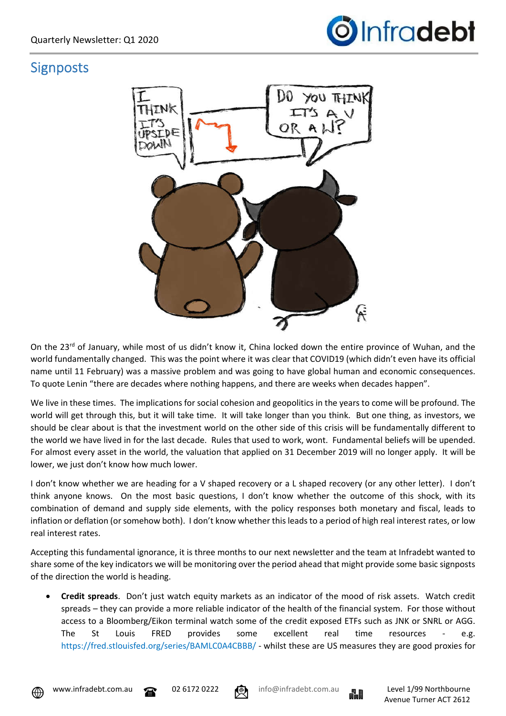

## **Signposts**



On the 23<sup>rd</sup> of January, while most of us didn't know it, China locked down the entire province of Wuhan, and the world fundamentally changed. This was the point where it was clear that COVID19 (which didn't even have its official name until 11 February) was a massive problem and was going to have global human and economic consequences. To quote Lenin "there are decades where nothing happens, and there are weeks when decades happen".

We live in these times. The implications for social cohesion and geopolitics in the years to come will be profound. The world will get through this, but it will take time. It will take longer than you think. But one thing, as investors, we should be clear about is that the investment world on the other side of this crisis will be fundamentally different to the world we have lived in for the last decade. Rules that used to work, wont. Fundamental beliefs will be upended. For almost every asset in the world, the valuation that applied on 31 December 2019 will no longer apply. It will be lower, we just don't know how much lower.

I don't know whether we are heading for a V shaped recovery or a L shaped recovery (or any other letter). I don't think anyone knows. On the most basic questions, I don't know whether the outcome of this shock, with its combination of demand and supply side elements, with the policy responses both monetary and fiscal, leads to inflation or deflation (or somehow both). I don't know whether this leads to a period of high real interest rates, or low real interest rates.

Accepting this fundamental ignorance, it is three months to our next newsletter and the team at Infradebt wanted to share some of the key indicators we will be monitoring over the period ahead that might provide some basic signposts of the direction the world is heading.

 **Credit spreads**. Don't just watch equity markets as an indicator of the mood of risk assets. Watch credit spreads – they can provide a more reliable indicator of the health of the financial system. For those without access to a Bloomberg/Eikon terminal watch some of the credit exposed ETFs such as JNK or SNRL or AGG. The St Louis FRED provides some excellent real time resources - e.g. https://fred.stlouisfed.org/series/BAMLC0A4CBBB/ - whilst these are US measures they are good proxies for